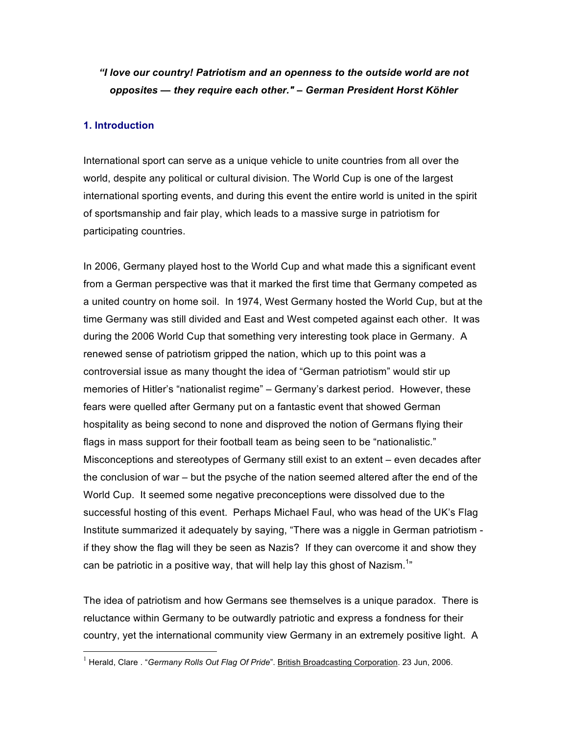# *"I love our country! Patriotism and an openness to the outside world are not opposites — they require each other." – German President Horst Köhler*

## **1. Introduction**

International sport can serve as a unique vehicle to unite countries from all over the world, despite any political or cultural division. The World Cup is one of the largest international sporting events, and during this event the entire world is united in the spirit of sportsmanship and fair play, which leads to a massive surge in patriotism for participating countries.

In 2006, Germany played host to the World Cup and what made this a significant event from a German perspective was that it marked the first time that Germany competed as a united country on home soil. In 1974, West Germany hosted the World Cup, but at the time Germany was still divided and East and West competed against each other. It was during the 2006 World Cup that something very interesting took place in Germany. A renewed sense of patriotism gripped the nation, which up to this point was a controversial issue as many thought the idea of "German patriotism" would stir up memories of Hitler's "nationalist regime" – Germany's darkest period. However, these fears were quelled after Germany put on a fantastic event that showed German hospitality as being second to none and disproved the notion of Germans flying their flags in mass support for their football team as being seen to be "nationalistic." Misconceptions and stereotypes of Germany still exist to an extent – even decades after the conclusion of war – but the psyche of the nation seemed altered after the end of the World Cup. It seemed some negative preconceptions were dissolved due to the successful hosting of this event. Perhaps Michael Faul, who was head of the UK's Flag Institute summarized it adequately by saying, "There was a niggle in German patriotism if they show the flag will they be seen as Nazis? If they can overcome it and show they can be patriotic in a positive way, that will help lay this ghost of Nazism.<sup>1</sup>"

The idea of patriotism and how Germans see themselves is a unique paradox. There is reluctance within Germany to be outwardly patriotic and express a fondness for their country, yet the international community view Germany in an extremely positive light. A

 <sup>1</sup> Herald, Clare . "*Germany Rolls Out Flag Of Pride*". British Broadcasting Corporation. 23 Jun, 2006.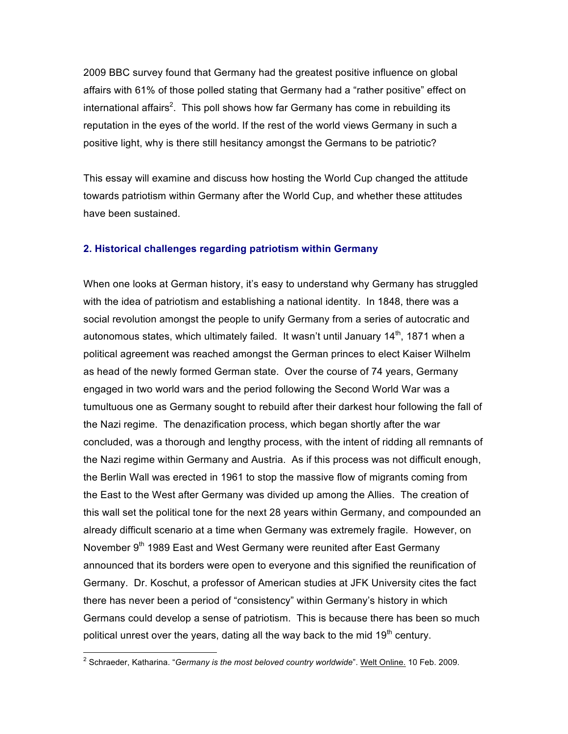2009 BBC survey found that Germany had the greatest positive influence on global affairs with 61% of those polled stating that Germany had a "rather positive" effect on international affairs<sup>2</sup>. This poll shows how far Germany has come in rebuilding its reputation in the eyes of the world. If the rest of the world views Germany in such a positive light, why is there still hesitancy amongst the Germans to be patriotic?

This essay will examine and discuss how hosting the World Cup changed the attitude towards patriotism within Germany after the World Cup, and whether these attitudes have been sustained.

#### **2. Historical challenges regarding patriotism within Germany**

When one looks at German history, it's easy to understand why Germany has struggled with the idea of patriotism and establishing a national identity. In 1848, there was a social revolution amongst the people to unify Germany from a series of autocratic and autonomous states, which ultimately failed. It wasn't until January  $14<sup>th</sup>$ , 1871 when a political agreement was reached amongst the German princes to elect Kaiser Wilhelm as head of the newly formed German state. Over the course of 74 years, Germany engaged in two world wars and the period following the Second World War was a tumultuous one as Germany sought to rebuild after their darkest hour following the fall of the Nazi regime. The denazification process, which began shortly after the war concluded, was a thorough and lengthy process, with the intent of ridding all remnants of the Nazi regime within Germany and Austria. As if this process was not difficult enough, the Berlin Wall was erected in 1961 to stop the massive flow of migrants coming from the East to the West after Germany was divided up among the Allies. The creation of this wall set the political tone for the next 28 years within Germany, and compounded an already difficult scenario at a time when Germany was extremely fragile. However, on November 9<sup>th</sup> 1989 East and West Germany were reunited after East Germany announced that its borders were open to everyone and this signified the reunification of Germany. Dr. Koschut, a professor of American studies at JFK University cites the fact there has never been a period of "consistency" within Germany's history in which Germans could develop a sense of patriotism. This is because there has been so much political unrest over the years, dating all the way back to the mid  $19<sup>th</sup>$  century.

 $\frac{1}{2}$ <sup>2</sup> Schraeder, Katharina. "*Germany is the most beloved country worldwide*". Welt Online. 10 Feb. 2009.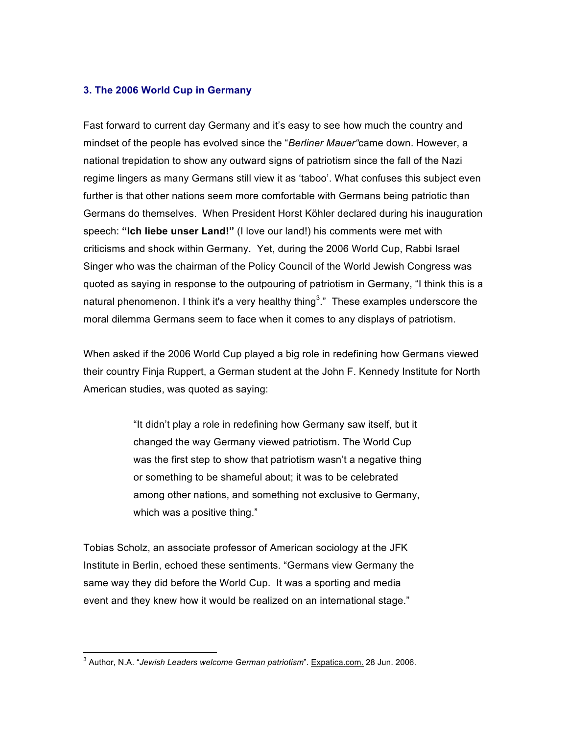## **3. The 2006 World Cup in Germany**

Fast forward to current day Germany and it's easy to see how much the country and mindset of the people has evolved since the "*Berliner Mauer"*came down. However, a national trepidation to show any outward signs of patriotism since the fall of the Nazi regime lingers as many Germans still view it as 'taboo'. What confuses this subject even further is that other nations seem more comfortable with Germans being patriotic than Germans do themselves. When President Horst Köhler declared during his inauguration speech: **"Ich liebe unser Land!"** (I love our land!) his comments were met with criticisms and shock within Germany. Yet, during the 2006 World Cup, Rabbi Israel Singer who was the chairman of the Policy Council of the World Jewish Congress was quoted as saying in response to the outpouring of patriotism in Germany, "I think this is a natural phenomenon. I think it's a very healthy thing<sup>3</sup>." These examples underscore the moral dilemma Germans seem to face when it comes to any displays of patriotism.

When asked if the 2006 World Cup played a big role in redefining how Germans viewed their country Finja Ruppert, a German student at the John F. Kennedy Institute for North American studies, was quoted as saying:

> "It didn't play a role in redefining how Germany saw itself, but it changed the way Germany viewed patriotism. The World Cup was the first step to show that patriotism wasn't a negative thing or something to be shameful about; it was to be celebrated among other nations, and something not exclusive to Germany, which was a positive thing."

Tobias Scholz, an associate professor of American sociology at the JFK Institute in Berlin, echoed these sentiments. "Germans view Germany the same way they did before the World Cup. It was a sporting and media event and they knew how it would be realized on an international stage."

<sup>-&</sup>lt;br>3 Author, N.A. "*Jewish Leaders welcome German patriotism*". Expatica.com. 28 Jun. 2006.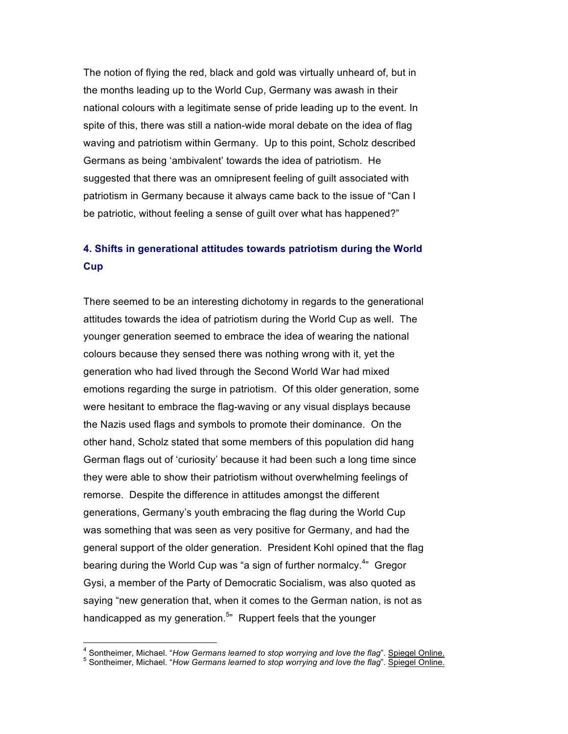The notion of flying the red, black and gold was virtually unheard of, but in the months leading up to the World Cup, Germany was awash in their national colours with a legitimate sense of pride leading up to the event. In spite of this, there was still a nation-wide moral debate on the idea of flag waving and patriotism within Germany. Up to this point, Scholz described Germans as being 'ambivalent' towards the idea of patriotism. He suggested that there was an omnipresent feeling of guilt associated with patriotism in Germany because it always came back to the issue of "Can I be patriotic, without feeling a sense of guilt over what has happened?"

# **4. Shifts in generational attitudes towards patriotism during the World Cup**

There seemed to be an interesting dichotomy in regards to the generational attitudes towards the idea of patriotism during the World Cup as well. The younger generation seemed to embrace the idea of wearing the national colours because they sensed there was nothing wrong with it, yet the generation who had lived through the Second World War had mixed emotions regarding the surge in patriotism. Of this older generation, some were hesitant to embrace the flag-waving or any visual displays because the Nazis used flags and symbols to promote their dominance. On the other hand, Scholz stated that some members of this population did hang German flags out of 'curiosity' because it had been such a long time since they were able to show their patriotism without overwhelming feelings of remorse. Despite the difference in attitudes amongst the different generations, Germany's youth embracing the flag during the World Cup was something that was seen as very positive for Germany, and had the general support of the older generation. President Kohl opined that the flag bearing during the World Cup was "a sign of further normalcy.<sup>4</sup>" Gregor Gysi, a member of the Party of Democratic Socialism, was also quoted as saying "new generation that, when it comes to the German nation, is not as handicapped as my generation.<sup>5</sup>" Ruppert feels that the younger

 $\frac{1}{4}$ <sup>4</sup> Sontheimer, Michael. "How Germans learned to stop worrying and love the flag". Spiegel Online.

<sup>&</sup>lt;sup>5</sup> Sontheimer, Michael. "How Germans learned to stop worrying and love the flag". Spiegel Online.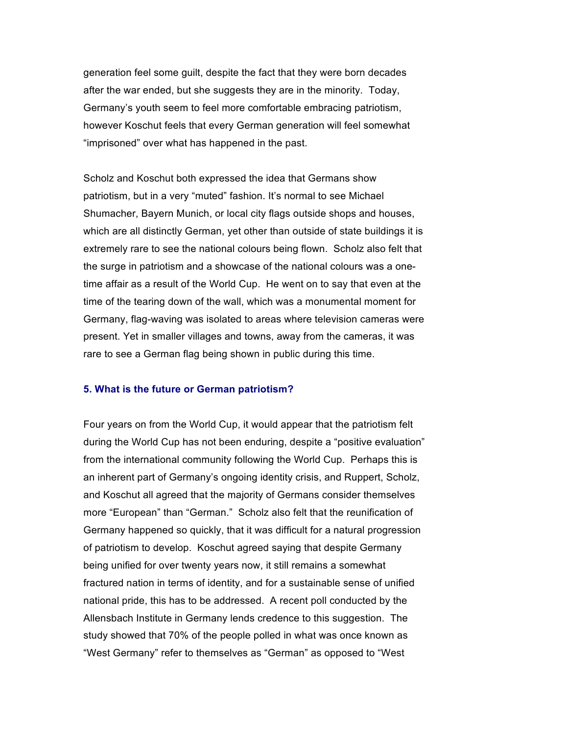generation feel some guilt, despite the fact that they were born decades after the war ended, but she suggests they are in the minority. Today, Germany's youth seem to feel more comfortable embracing patriotism, however Koschut feels that every German generation will feel somewhat "imprisoned" over what has happened in the past.

Scholz and Koschut both expressed the idea that Germans show patriotism, but in a very "muted" fashion. It's normal to see Michael Shumacher, Bayern Munich, or local city flags outside shops and houses, which are all distinctly German, yet other than outside of state buildings it is extremely rare to see the national colours being flown. Scholz also felt that the surge in patriotism and a showcase of the national colours was a onetime affair as a result of the World Cup. He went on to say that even at the time of the tearing down of the wall, which was a monumental moment for Germany, flag-waving was isolated to areas where television cameras were present. Yet in smaller villages and towns, away from the cameras, it was rare to see a German flag being shown in public during this time.

#### **5. What is the future or German patriotism?**

Four years on from the World Cup, it would appear that the patriotism felt during the World Cup has not been enduring, despite a "positive evaluation" from the international community following the World Cup. Perhaps this is an inherent part of Germany's ongoing identity crisis, and Ruppert, Scholz, and Koschut all agreed that the majority of Germans consider themselves more "European" than "German." Scholz also felt that the reunification of Germany happened so quickly, that it was difficult for a natural progression of patriotism to develop. Koschut agreed saying that despite Germany being unified for over twenty years now, it still remains a somewhat fractured nation in terms of identity, and for a sustainable sense of unified national pride, this has to be addressed. A recent poll conducted by the Allensbach Institute in Germany lends credence to this suggestion. The study showed that 70% of the people polled in what was once known as "West Germany" refer to themselves as "German" as opposed to "West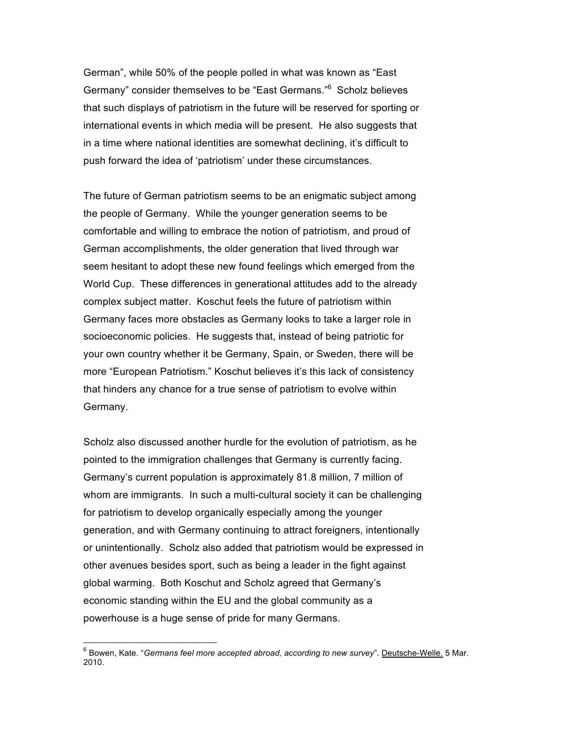German", while 50% of the people polled in what was known as "East Germany" consider themselves to be "East Germans."<sup>6</sup> Scholz believes that such displays of patriotism in the future will be reserved for sporting or international events in which media will be present. He also suggests that in a time where national identities are somewhat declining, it's difficult to push forward the idea of 'patriotism' under these circumstances.

The future of German patriotism seems to be an enigmatic subject among the people of Germany. While the younger generation seems to be comfortable and willing to embrace the notion of patriotism, and proud of German accomplishments, the older generation that lived through war seem hesitant to adopt these new found feelings which emerged from the World Cup. These differences in generational attitudes add to the already complex subject matter. Koschut feels the future of patriotism within Germany faces more obstacles as Germany looks to take a larger role in socioeconomic policies. He suggests that, instead of being patriotic for your own country whether it be Germany, Spain, or Sweden, there will be more "European Patriotism." Koschut believes it's this lack of consistency that hinders any chance for a true sense of patriotism to evolve within Germany.

Scholz also discussed another hurdle for the evolution of patriotism, as he pointed to the immigration challenges that Germany is currently facing. Germany's current population is approximately 81.8 million, 7 million of whom are immigrants. In such a multi-cultural society it can be challenging for patriotism to develop organically especially among the younger generation, and with Germany continuing to attract foreigners, intentionally or unintentionally. Scholz also added that patriotism would be expressed in other avenues besides sport, such as being a leader in the fight against global warming. Both Koschut and Scholz agreed that Germany's economic standing within the EU and the global community as a powerhouse is a huge sense of pride for many Germans.

<sup>-&</sup>lt;br>6 <sup>6</sup> Bowen, Kate. "*Germans feel more accepted abroad, according to new survey*". **Deutsche-Welle.** 5 Mar. 2010.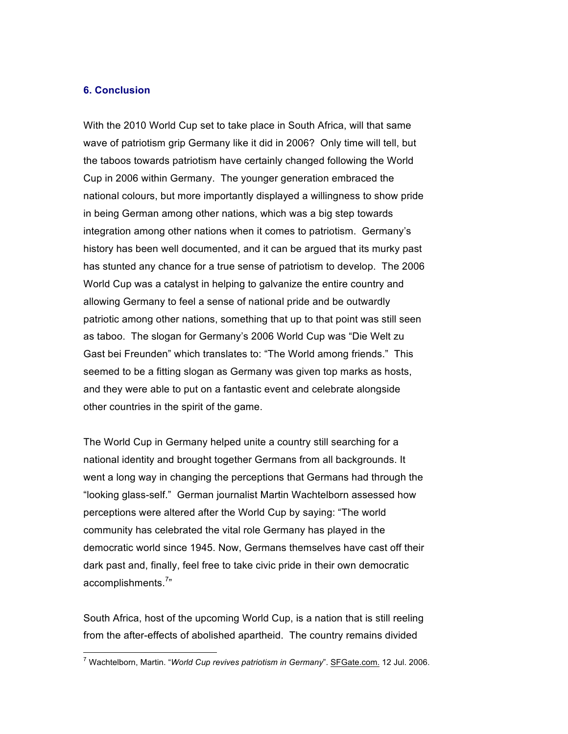### **6. Conclusion**

With the 2010 World Cup set to take place in South Africa, will that same wave of patriotism grip Germany like it did in 2006? Only time will tell, but the taboos towards patriotism have certainly changed following the World Cup in 2006 within Germany. The younger generation embraced the national colours, but more importantly displayed a willingness to show pride in being German among other nations, which was a big step towards integration among other nations when it comes to patriotism. Germany's history has been well documented, and it can be argued that its murky past has stunted any chance for a true sense of patriotism to develop. The 2006 World Cup was a catalyst in helping to galvanize the entire country and allowing Germany to feel a sense of national pride and be outwardly patriotic among other nations, something that up to that point was still seen as taboo. The slogan for Germany's 2006 World Cup was "Die Welt zu Gast bei Freunden" which translates to: "The World among friends." This seemed to be a fitting slogan as Germany was given top marks as hosts, and they were able to put on a fantastic event and celebrate alongside other countries in the spirit of the game.

The World Cup in Germany helped unite a country still searching for a national identity and brought together Germans from all backgrounds. It went a long way in changing the perceptions that Germans had through the "looking glass-self." German journalist Martin Wachtelborn assessed how perceptions were altered after the World Cup by saying: "The world community has celebrated the vital role Germany has played in the democratic world since 1945. Now, Germans themselves have cast off their dark past and, finally, feel free to take civic pride in their own democratic accomplishments.<sup>7</sup>"

South Africa, host of the upcoming World Cup, is a nation that is still reeling from the after-effects of abolished apartheid. The country remains divided

 $\frac{1}{7}$ <sup>7</sup> Wachtelborn, Martin. "*World Cup revives patriotism in Germany*". **SFGate.com.** 12 Jul. 2006.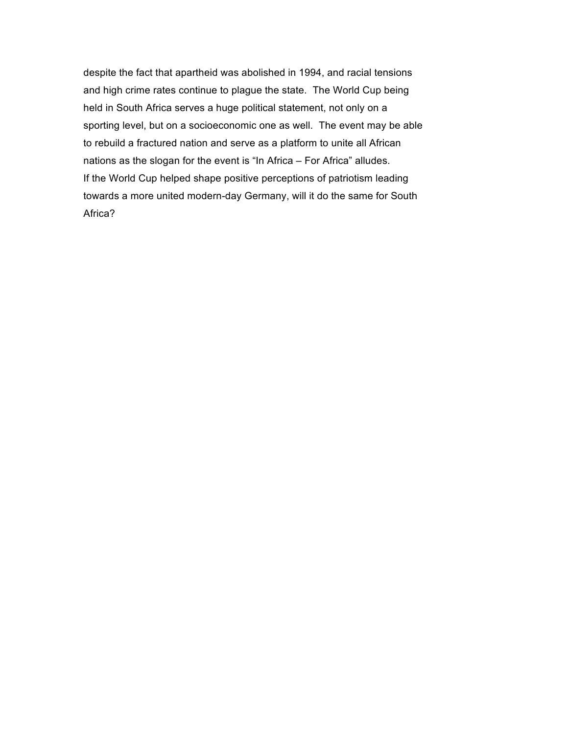despite the fact that apartheid was abolished in 1994, and racial tensions and high crime rates continue to plague the state. The World Cup being held in South Africa serves a huge political statement, not only on a sporting level, but on a socioeconomic one as well. The event may be able to rebuild a fractured nation and serve as a platform to unite all African nations as the slogan for the event is "In Africa – For Africa" alludes. If the World Cup helped shape positive perceptions of patriotism leading towards a more united modern-day Germany, will it do the same for South Africa?